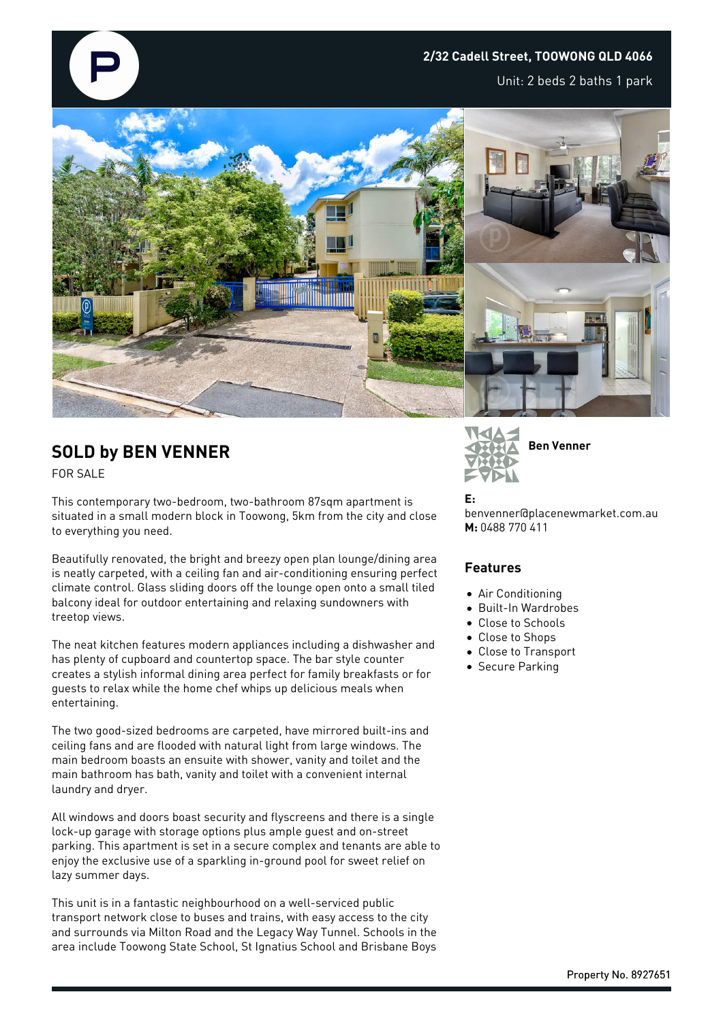#### **2/32 Cadell Street, TOOWONG QLD 4066**

Unit: 2 beds 2 baths 1 park



# **SOLD by BEN VENNER**

FOR SALE

This contemporary two-bedroom, two-bathroom 87sqm apartment is situated in a small modern block in Toowong, 5km from the city and close to everything you need.

Beautifully renovated, the bright and breezy open plan lounge/dining area is neatly carpeted, with a ceiling fan and air-conditioning ensuring perfect climate control. Glass sliding doors off the lounge open onto a small tiled balcony ideal for outdoor entertaining and relaxing sundowners with treetop views.

The neat kitchen features modern appliances including a dishwasher and has plenty of cupboard and countertop space. The bar style counter creates a stylish informal dining area perfect for family breakfasts or for guests to relax while the home chef whips up delicious meals when entertaining.

The two good-sized bedrooms are carpeted, have mirrored built-ins and ceiling fans and are flooded with natural light from large windows. The main bedroom boasts an ensuite with shower, vanity and toilet and the main bathroom has bath, vanity and toilet with a convenient internal laundry and dryer.

All windows and doors boast security and flyscreens and there is a single lock-up garage with storage options plus ample guest and on-street parking. This apartment is set in a secure complex and tenants are able to enjoy the exclusive use of a sparkling in-ground pool for sweet relief on lazy summer days.

This unit is in a fantastic neighbourhood on a well-serviced public transport network close to buses and trains, with easy access to the city and surrounds via Milton Road and the Legacy Way Tunnel. Schools in the area include Toowong State School, St Ignatius School and Brisbane Boys



#### **E:**

benvenner@placenewmarket.com.au **M:** 0488 770 411

#### **Features**

- Air Conditioning
- Built-In Wardrobes
- Close to Schools
- Close to Shops
- Close to Transport
- Secure Parking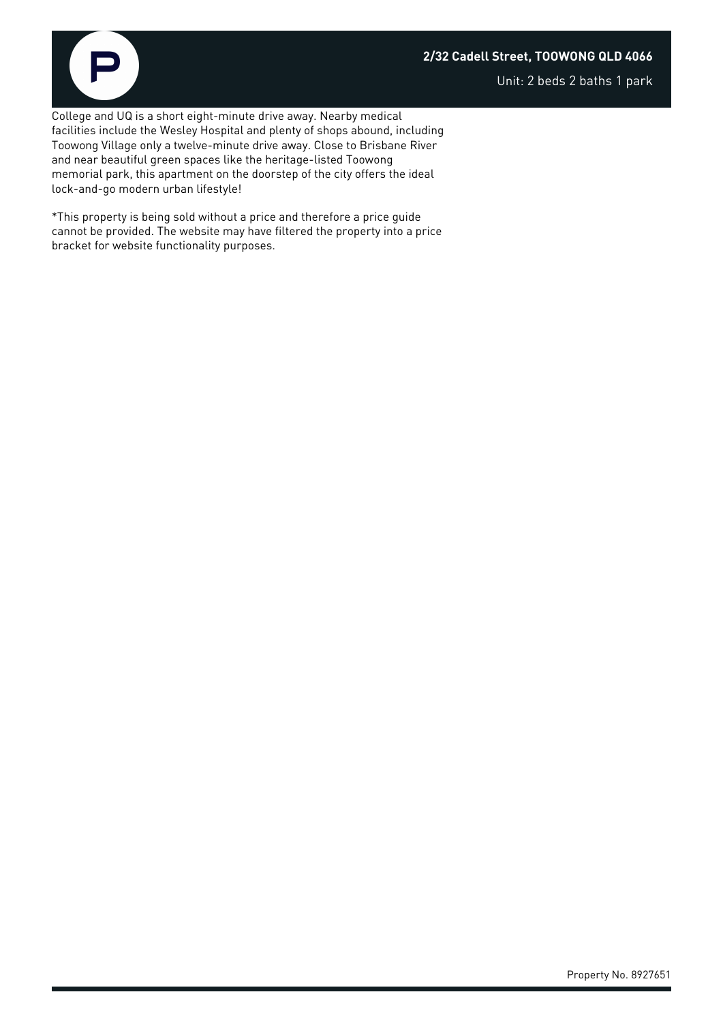### **2/32 Cadell Street, TOOWONG QLD 4066**



Unit: 2 beds 2 baths 1 park

College and UQ is a short eight-minute drive away. Nearby medical facilities include the Wesley Hospital and plenty of shops abound, including Toowong Village only a twelve-minute drive away. Close to Brisbane River and near beautiful green spaces like the heritage-listed Toowong memorial park, this apartment on the doorstep of the city offers the ideal lock-and-go modern urban lifestyle!

\*This property is being sold without a price and therefore a price guide cannot be provided. The website may have filtered the property into a price bracket for website functionality purposes.